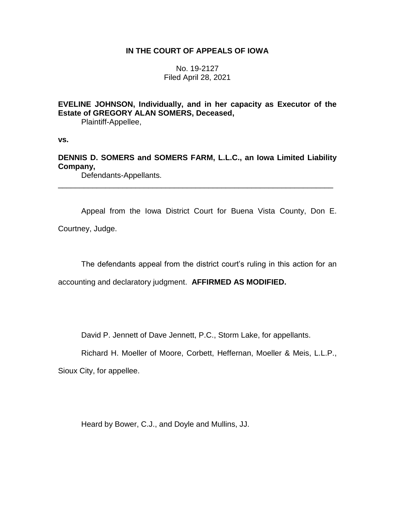## **IN THE COURT OF APPEALS OF IOWA**

No. 19-2127 Filed April 28, 2021

**EVELINE JOHNSON, Individually, and in her capacity as Executor of the Estate of GREGORY ALAN SOMERS, Deceased,**

Plaintiff-Appellee,

**vs.**

**DENNIS D. SOMERS and SOMERS FARM, L.L.C., an Iowa Limited Liability Company,**

\_\_\_\_\_\_\_\_\_\_\_\_\_\_\_\_\_\_\_\_\_\_\_\_\_\_\_\_\_\_\_\_\_\_\_\_\_\_\_\_\_\_\_\_\_\_\_\_\_\_\_\_\_\_\_\_\_\_\_\_\_\_\_\_

Defendants-Appellants.

Appeal from the Iowa District Court for Buena Vista County, Don E. Courtney, Judge.

The defendants appeal from the district court's ruling in this action for an

accounting and declaratory judgment. **AFFIRMED AS MODIFIED.**

David P. Jennett of Dave Jennett, P.C., Storm Lake, for appellants.

Richard H. Moeller of Moore, Corbett, Heffernan, Moeller & Meis, L.L.P.,

Sioux City, for appellee.

Heard by Bower, C.J., and Doyle and Mullins, JJ.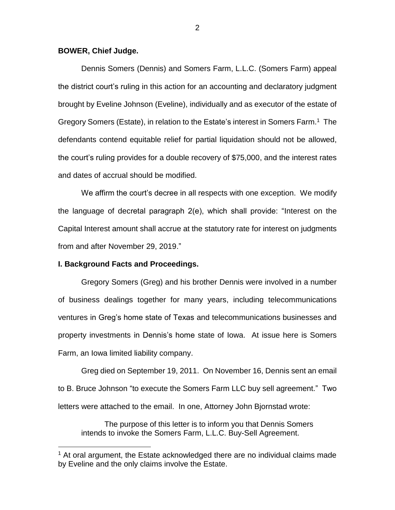#### **BOWER, Chief Judge.**

Dennis Somers (Dennis) and Somers Farm, L.L.C. (Somers Farm) appeal the district court's ruling in this action for an accounting and declaratory judgment brought by Eveline Johnson (Eveline), individually and as executor of the estate of Gregory Somers (Estate), in relation to the Estate's interest in Somers Farm.<sup>1</sup> The defendants contend equitable relief for partial liquidation should not be allowed, the court's ruling provides for a double recovery of \$75,000, and the interest rates and dates of accrual should be modified.

We affirm the court's decree in all respects with one exception. We modify the language of decretal paragraph 2(e), which shall provide: "Interest on the Capital Interest amount shall accrue at the statutory rate for interest on judgments from and after November 29, 2019."

#### **I. Background Facts and Proceedings.**

 $\overline{a}$ 

Gregory Somers (Greg) and his brother Dennis were involved in a number of business dealings together for many years, including telecommunications ventures in Greg's home state of Texas and telecommunications businesses and property investments in Dennis's home state of Iowa. At issue here is Somers Farm, an Iowa limited liability company.

Greg died on September 19, 2011. On November 16, Dennis sent an email to B. Bruce Johnson "to execute the Somers Farm LLC buy sell agreement." Two letters were attached to the email. In one, Attorney John Bjornstad wrote:

The purpose of this letter is to inform you that Dennis Somers intends to invoke the Somers Farm, L.L.C. Buy-Sell Agreement.

 $1$  At oral argument, the Estate acknowledged there are no individual claims made by Eveline and the only claims involve the Estate.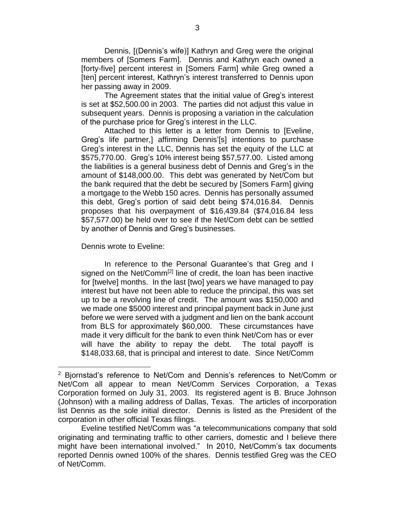Dennis, [(Dennis's wife)] Kathryn and Greg were the original members of [Somers Farm]. Dennis and Kathryn each owned a [forty-five] percent interest in [Somers Farm] while Greg owned a [ten] percent interest, Kathryn's interest transferred to Dennis upon her passing away in 2009.

The Agreement states that the initial value of Greg's interest is set at \$52,500.00 in 2003. The parties did not adjust this value in subsequent years. Dennis is proposing a variation in the calculation of the purchase price for Greg's interest in the LLC.

Attached to this letter is a letter from Dennis to [Eveline, Greg's life partner,] affirming Dennis'[s] intentions to purchase Greg's interest in the LLC, Dennis has set the equity of the LLC at \$575,770.00. Greg's 10% interest being \$57,577.00. Listed among the liabilities is a general business debt of Dennis and Greg's in the amount of \$148,000.00. This debt was generated by Net/Com but the bank required that the debt be secured by [Somers Farm] giving a mortgage to the Webb 150 acres. Dennis has personally assumed this debt, Greg's portion of said debt being \$74,016.84. Dennis proposes that his overpayment of \$16,439.84 (\$74,016.84 less \$57,577.00) be held over to see if the Net/Com debt can be settled by another of Dennis and Greg's businesses.

Dennis wrote to Eveline:

 $\overline{a}$ 

In reference to the Personal Guarantee's that Greg and I signed on the Net/Comm<sup>[2]</sup> line of credit, the loan has been inactive for [twelve] months. In the last [two] years we have managed to pay interest but have not been able to reduce the principal, this was set up to be a revolving line of credit. The amount was \$150,000 and we made one \$5000 interest and principal payment back in June just before we were served with a judgment and lien on the bank account from BLS for approximately \$60,000. These circumstances have made it very difficult for the bank to even think Net/Com has or ever will have the ability to repay the debt. The total payoff is \$148,033.68, that is principal and interest to date. Since Net/Comm

<sup>2</sup> Bjornstad's reference to Net/Com and Dennis's references to Net/Comm or Net/Com all appear to mean Net/Comm Services Corporation, a Texas Corporation formed on July 31, 2003. Its registered agent is B. Bruce Johnson (Johnson) with a mailing address of Dallas, Texas. The articles of incorporation list Dennis as the sole initial director. Dennis is listed as the President of the corporation in other official Texas filings.

Eveline testified Net/Comm was "a telecommunications company that sold originating and terminating traffic to other carriers, domestic and I believe there might have been international involved." In 2010, Net/Comm's tax documents reported Dennis owned 100% of the shares. Dennis testified Greg was the CEO of Net/Comm.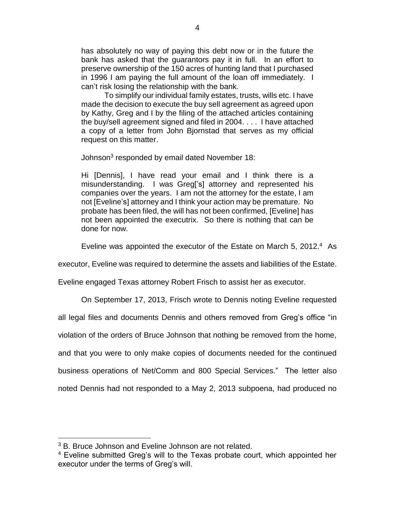has absolutely no way of paying this debt now or in the future the bank has asked that the guarantors pay it in full. In an effort to preserve ownership of the 150 acres of hunting land that I purchased in 1996 I am paying the full amount of the loan off immediately. I can't risk losing the relationship with the bank.

To simplify our individual family estates, trusts, wills etc. I have made the decision to execute the buy sell agreement as agreed upon by Kathy, Greg and I by the filing of the attached articles containing the buy/sell agreement signed and filed in 2004. . . . I have attached a copy of a letter from John Bjornstad that serves as my official request on this matter.

Johnson<sup>3</sup> responded by email dated November 18:

Hi [Dennis], I have read your email and I think there is a misunderstanding. I was Greg['s] attorney and represented his companies over the years. I am not the attorney for the estate, I am not [Eveline's] attorney and I think your action may be premature. No probate has been filed, the will has not been confirmed, [Eveline] has not been appointed the executrix. So there is nothing that can be done for now.

Eveline was appointed the executor of the Estate on March 5, 2012.<sup>4</sup> As

executor, Eveline was required to determine the assets and liabilities of the Estate.

Eveline engaged Texas attorney Robert Frisch to assist her as executor.

On September 17, 2013, Frisch wrote to Dennis noting Eveline requested

all legal files and documents Dennis and others removed from Greg's office "in

violation of the orders of Bruce Johnson that nothing be removed from the home,

and that you were to only make copies of documents needed for the continued

business operations of Net/Comm and 800 Special Services." The letter also

noted Dennis had not responded to a May 2, 2013 subpoena, had produced no

 $\overline{a}$ 

<sup>&</sup>lt;sup>3</sup> B. Bruce Johnson and Eveline Johnson are not related.

<sup>&</sup>lt;sup>4</sup> Eveline submitted Greg's will to the Texas probate court, which appointed her executor under the terms of Greg's will.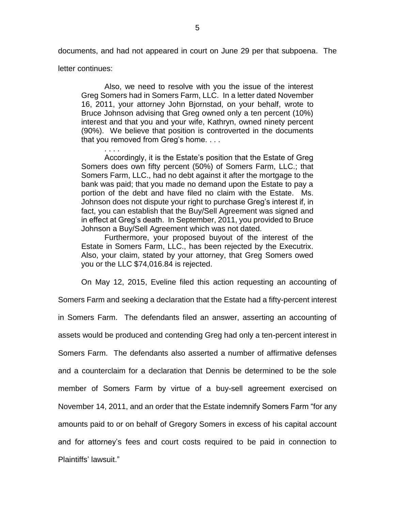documents, and had not appeared in court on June 29 per that subpoena. The

letter continues:

Also, we need to resolve with you the issue of the interest Greg Somers had in Somers Farm, LLC. In a letter dated November 16, 2011, your attorney John Bjornstad, on your behalf, wrote to Bruce Johnson advising that Greg owned only a ten percent (10%) interest and that you and your wife, Kathryn, owned ninety percent (90%). We believe that position is controverted in the documents that you removed from Greg's home. . . .

. . . . Accordingly, it is the Estate's position that the Estate of Greg Somers does own fifty percent (50%) of Somers Farm, LLC.; that Somers Farm, LLC., had no debt against it after the mortgage to the bank was paid; that you made no demand upon the Estate to pay a portion of the debt and have filed no claim with the Estate. Ms. Johnson does not dispute your right to purchase Greg's interest if, in fact, you can establish that the Buy/Sell Agreement was signed and in effect at Greg's death. In September, 2011, you provided to Bruce Johnson a Buy/Sell Agreement which was not dated.

Furthermore, your proposed buyout of the interest of the Estate in Somers Farm, LLC., has been rejected by the Executrix. Also, your claim, stated by your attorney, that Greg Somers owed you or the LLC \$74,016.84 is rejected.

On May 12, 2015, Eveline filed this action requesting an accounting of

Somers Farm and seeking a declaration that the Estate had a fifty-percent interest

in Somers Farm. The defendants filed an answer, asserting an accounting of

assets would be produced and contending Greg had only a ten-percent interest in

Somers Farm. The defendants also asserted a number of affirmative defenses

and a counterclaim for a declaration that Dennis be determined to be the sole

member of Somers Farm by virtue of a buy-sell agreement exercised on

November 14, 2011, and an order that the Estate indemnify Somers Farm "for any

amounts paid to or on behalf of Gregory Somers in excess of his capital account

and for attorney's fees and court costs required to be paid in connection to

Plaintiffs' lawsuit."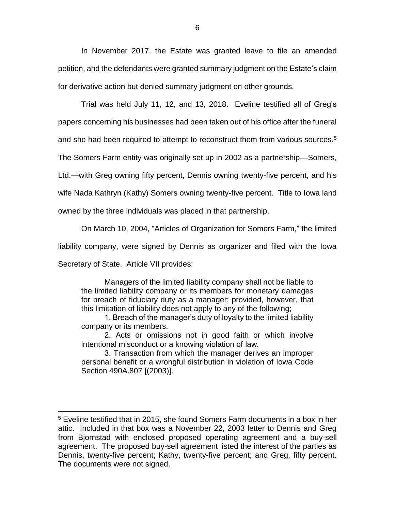In November 2017, the Estate was granted leave to file an amended petition, and the defendants were granted summary judgment on the Estate's claim for derivative action but denied summary judgment on other grounds.

Trial was held July 11, 12, and 13, 2018. Eveline testified all of Greg's papers concerning his businesses had been taken out of his office after the funeral

and she had been required to attempt to reconstruct them from various sources.<sup>5</sup>

The Somers Farm entity was originally set up in 2002 as a partnership—Somers,

Ltd.—with Greg owning fifty percent, Dennis owning twenty-five percent, and his

wife Nada Kathryn (Kathy) Somers owning twenty-five percent. Title to Iowa land

owned by the three individuals was placed in that partnership.

On March 10, 2004, "Articles of Organization for Somers Farm," the limited

liability company, were signed by Dennis as organizer and filed with the Iowa

Secretary of State. Article VII provides:

 $\overline{a}$ 

Managers of the limited liability company shall not be liable to the limited liability company or its members for monetary damages for breach of fiduciary duty as a manager; provided, however, that this limitation of liability does not apply to any of the following;

1. Breach of the manager's duty of loyalty to the limited liability company or its members.

2. Acts or omissions not in good faith or which involve intentional misconduct or a knowing violation of law.

3. Transaction from which the manager derives an improper personal benefit or a wrongful distribution in violation of Iowa Code Section 490A.807 [(2003)].

<sup>5</sup> Eveline testified that in 2015, she found Somers Farm documents in a box in her attic. Included in that box was a November 22, 2003 letter to Dennis and Greg from Bjornstad with enclosed proposed operating agreement and a buy-sell agreement. The proposed buy-sell agreement listed the interest of the parties as Dennis, twenty-five percent; Kathy, twenty-five percent; and Greg, fifty percent. The documents were not signed.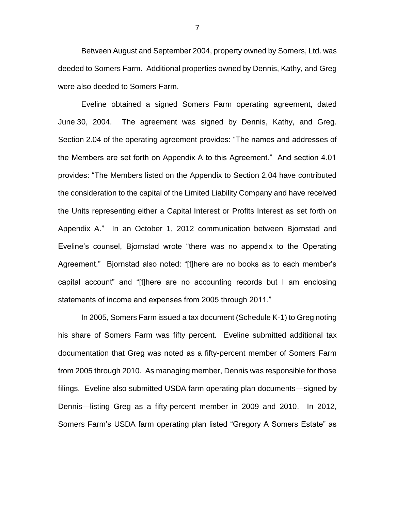Between August and September 2004, property owned by Somers, Ltd. was deeded to Somers Farm. Additional properties owned by Dennis, Kathy, and Greg were also deeded to Somers Farm.

Eveline obtained a signed Somers Farm operating agreement, dated June 30, 2004. The agreement was signed by Dennis, Kathy, and Greg. Section 2.04 of the operating agreement provides: "The names and addresses of the Members are set forth on Appendix A to this Agreement." And section 4.01 provides: "The Members listed on the Appendix to Section 2.04 have contributed the consideration to the capital of the Limited Liability Company and have received the Units representing either a Capital Interest or Profits Interest as set forth on Appendix A." In an October 1, 2012 communication between Bjornstad and Eveline's counsel, Bjornstad wrote "there was no appendix to the Operating Agreement." Bjornstad also noted: "[t]here are no books as to each member's capital account" and "[t]here are no accounting records but I am enclosing statements of income and expenses from 2005 through 2011."

In 2005, Somers Farm issued a tax document (Schedule K-1) to Greg noting his share of Somers Farm was fifty percent. Eveline submitted additional tax documentation that Greg was noted as a fifty-percent member of Somers Farm from 2005 through 2010. As managing member, Dennis was responsible for those filings. Eveline also submitted USDA farm operating plan documents—signed by Dennis—listing Greg as a fifty-percent member in 2009 and 2010. In 2012, Somers Farm's USDA farm operating plan listed "Gregory A Somers Estate" as

7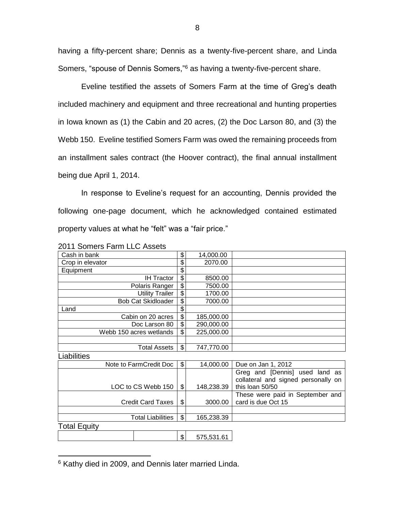having a fifty-percent share; Dennis as a twenty-five-percent share, and Linda Somers, "spouse of Dennis Somers,"<sup>6</sup> as having a twenty-five-percent share.

Eveline testified the assets of Somers Farm at the time of Greg's death included machinery and equipment and three recreational and hunting properties in Iowa known as (1) the Cabin and 20 acres, (2) the Doc Larson 80, and (3) the Webb 150. Eveline testified Somers Farm was owed the remaining proceeds from an installment sales contract (the Hoover contract), the final annual installment being due April 1, 2014.

In response to Eveline's request for an accounting, Dennis provided the following one-page document, which he acknowledged contained estimated property values at what he "felt" was a "fair price."

| Cash in bank              | \$              | 14,000.00  |                                                                                          |
|---------------------------|-----------------|------------|------------------------------------------------------------------------------------------|
| Crop in elevator          | \$              | 2070.00    |                                                                                          |
| Equipment                 | \$              |            |                                                                                          |
| <b>IH Tractor</b>         | \$              | 8500.00    |                                                                                          |
| Polaris Ranger            | $\overline{\$}$ | 7500.00    |                                                                                          |
| <b>Utility Trailer</b>    | \$              | 1700.00    |                                                                                          |
| <b>Bob Cat Skidloader</b> | \$              | 7000.00    |                                                                                          |
| Land                      | \$              |            |                                                                                          |
| Cabin on 20 acres         | \$              | 185,000.00 |                                                                                          |
| Doc Larson 80             | \$              | 290,000.00 |                                                                                          |
| Webb 150 acres wetlands   | \$              | 225,000.00 |                                                                                          |
|                           |                 |            |                                                                                          |
| <b>Total Assets</b>       | \$              | 747,770.00 |                                                                                          |
| Liabilities               |                 |            |                                                                                          |
| Note to FarmCredit Doc    | \$              | 14,000.00  | Due on Jan 1, 2012                                                                       |
| LOC to CS Webb 150        | \$              | 148,238.39 | Greg and [Dennis] used land as<br>collateral and signed personally on<br>this loan 50/50 |
|                           |                 |            | These were paid in September and                                                         |
| <b>Credit Card Taxes</b>  | \$              | 3000.00    | card is due Oct 15                                                                       |
|                           |                 |            |                                                                                          |
| <b>Total Liabilities</b>  | \$              | 165,238.39 |                                                                                          |
| <b>Total Equity</b>       |                 |            |                                                                                          |
|                           | \$              | 575,531.61 |                                                                                          |

2011 Somers Farm LLC Assets

 $\overline{a}$ 

<sup>&</sup>lt;sup>6</sup> Kathy died in 2009, and Dennis later married Linda.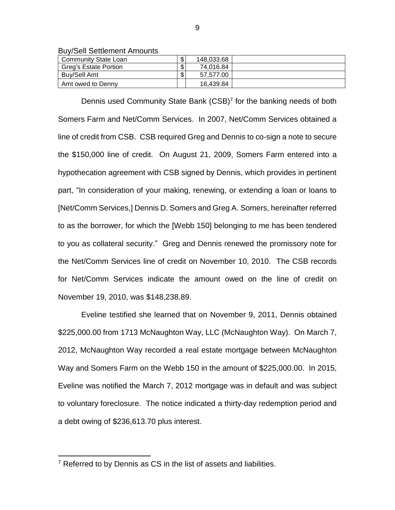Buy/Sell Settlement Amounts

| Community State Loan  | \$<br>148.033.68 |  |
|-----------------------|------------------|--|
| Greg's Estate Portion | \$<br>74,016.84  |  |
| Buv/Sell Amt          | \$<br>57.577.00  |  |
| Amt owed to Denny     | 16.439.84        |  |

Dennis used Community State Bank (CSB)<sup>7</sup> for the banking needs of both Somers Farm and Net/Comm Services. In 2007, Net/Comm Services obtained a line of credit from CSB. CSB required Greg and Dennis to co-sign a note to secure the \$150,000 line of credit. On August 21, 2009, Somers Farm entered into a hypothecation agreement with CSB signed by Dennis, which provides in pertinent part, "In consideration of your making, renewing, or extending a loan or loans to [Net/Comm Services,] Dennis D. Somers and Greg A. Somers, hereinafter referred to as the borrower, for which the [Webb 150] belonging to me has been tendered to you as collateral security." Greg and Dennis renewed the promissory note for the Net/Comm Services line of credit on November 10, 2010. The CSB records for Net/Comm Services indicate the amount owed on the line of credit on November 19, 2010, was \$148,238.89.

Eveline testified she learned that on November 9, 2011, Dennis obtained \$225,000.00 from 1713 McNaughton Way, LLC (McNaughton Way). On March 7, 2012, McNaughton Way recorded a real estate mortgage between McNaughton Way and Somers Farm on the Webb 150 in the amount of \$225,000.00. In 2015, Eveline was notified the March 7, 2012 mortgage was in default and was subject to voluntary foreclosure. The notice indicated a thirty-day redemption period and a debt owing of \$236,613.70 plus interest.

 $\overline{a}$ 

 $7$  Referred to by Dennis as CS in the list of assets and liabilities.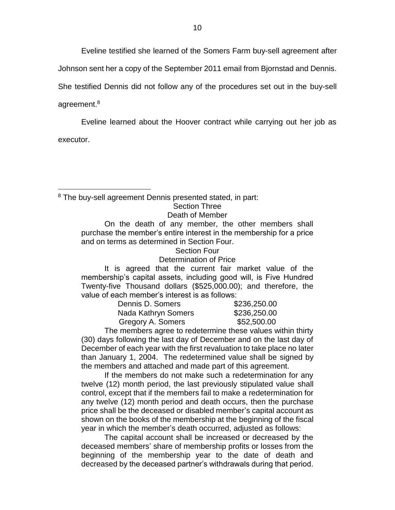Eveline testified she learned of the Somers Farm buy-sell agreement after

Johnson sent her a copy of the September 2011 email from Bjornstad and Dennis.

She testified Dennis did not follow any of the procedures set out in the buy-sell

agreement.<sup>8</sup>

Eveline learned about the Hoover contract while carrying out her job as

executor.

 $\overline{a}$ 

<sup>8</sup> The buy-sell agreement Dennis presented stated, in part:

# Section Three

# Death of Member

On the death of any member, the other members shall purchase the member's entire interest in the membership for a price and on terms as determined in Section Four.

#### Section Four Determination of Price

It is agreed that the current fair market value of the membership's capital assets, including good will, is Five Hundred Twenty-five Thousand dollars (\$525,000.00); and therefore, the value of each member's interest is as follows:

| Dennis D. Somers    | \$236,250.00 |
|---------------------|--------------|
| Nada Kathryn Somers | \$236,250.00 |
| Gregory A. Somers   | \$52,500.00  |

The members agree to redetermine these values within thirty (30) days following the last day of December and on the last day of December of each year with the first revaluation to take place no later than January 1, 2004. The redetermined value shall be signed by the members and attached and made part of this agreement.

If the members do not make such a redetermination for any twelve (12) month period, the last previously stipulated value shall control, except that if the members fail to make a redetermination for any twelve (12) month period and death occurs, then the purchase price shall be the deceased or disabled member's capital account as shown on the books of the membership at the beginning of the fiscal year in which the member's death occurred, adjusted as follows:

The capital account shall be increased or decreased by the deceased members' share of membership profits or losses from the beginning of the membership year to the date of death and decreased by the deceased partner's withdrawals during that period.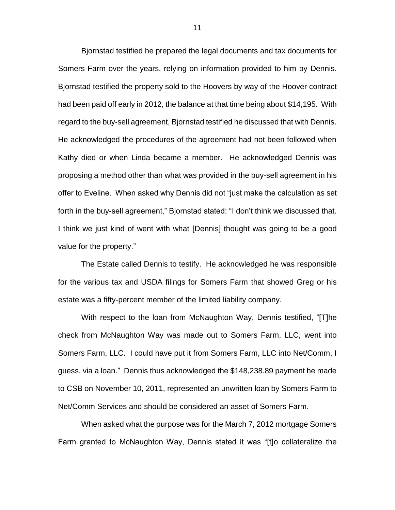Bjornstad testified he prepared the legal documents and tax documents for Somers Farm over the years, relying on information provided to him by Dennis. Bjornstad testified the property sold to the Hoovers by way of the Hoover contract had been paid off early in 2012, the balance at that time being about \$14,195. With regard to the buy-sell agreement, Bjornstad testified he discussed that with Dennis. He acknowledged the procedures of the agreement had not been followed when Kathy died or when Linda became a member. He acknowledged Dennis was proposing a method other than what was provided in the buy-sell agreement in his offer to Eveline. When asked why Dennis did not "just make the calculation as set forth in the buy-sell agreement," Bjornstad stated: "I don't think we discussed that. I think we just kind of went with what [Dennis] thought was going to be a good value for the property."

The Estate called Dennis to testify. He acknowledged he was responsible for the various tax and USDA filings for Somers Farm that showed Greg or his estate was a fifty-percent member of the limited liability company.

With respect to the loan from McNaughton Way, Dennis testified, "[T]he check from McNaughton Way was made out to Somers Farm, LLC, went into Somers Farm, LLC. I could have put it from Somers Farm, LLC into Net/Comm, I guess, via a loan." Dennis thus acknowledged the \$148,238.89 payment he made to CSB on November 10, 2011, represented an unwritten loan by Somers Farm to Net/Comm Services and should be considered an asset of Somers Farm.

When asked what the purpose was for the March 7, 2012 mortgage Somers Farm granted to McNaughton Way, Dennis stated it was "[t]o collateralize the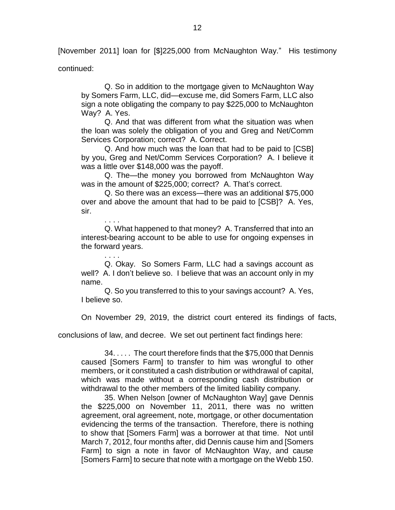[November 2011] loan for [\$]225,000 from McNaughton Way." His testimony

continued:

. . . .

Q. So in addition to the mortgage given to McNaughton Way by Somers Farm, LLC, did—excuse me, did Somers Farm, LLC also sign a note obligating the company to pay \$225,000 to McNaughton Way? A. Yes.

Q. And that was different from what the situation was when the loan was solely the obligation of you and Greg and Net/Comm Services Corporation; correct? A. Correct.

Q. And how much was the loan that had to be paid to [CSB] by you, Greg and Net/Comm Services Corporation? A. I believe it was a little over \$148,000 was the payoff.

Q. The—the money you borrowed from McNaughton Way was in the amount of \$225,000; correct? A. That's correct.

Q. So there was an excess—there was an additional \$75,000 over and above the amount that had to be paid to [CSB]? A. Yes, sir.

. . . . Q. What happened to that money? A. Transferred that into an interest-bearing account to be able to use for ongoing expenses in the forward years.

Q. Okay. So Somers Farm, LLC had a savings account as well? A. I don't believe so. I believe that was an account only in my name.

Q. So you transferred to this to your savings account? A. Yes, I believe so.

On November 29, 2019, the district court entered its findings of facts,

conclusions of law, and decree. We set out pertinent fact findings here:

34. . . . . The court therefore finds that the \$75,000 that Dennis caused [Somers Farm] to transfer to him was wrongful to other members, or it constituted a cash distribution or withdrawal of capital, which was made without a corresponding cash distribution or withdrawal to the other members of the limited liability company.

35. When Nelson [owner of McNaughton Way] gave Dennis the \$225,000 on November 11, 2011, there was no written agreement, oral agreement, note, mortgage, or other documentation evidencing the terms of the transaction. Therefore, there is nothing to show that [Somers Farm] was a borrower at that time. Not until March 7, 2012, four months after, did Dennis cause him and [Somers Farm] to sign a note in favor of McNaughton Way, and cause [Somers Farm] to secure that note with a mortgage on the Webb 150.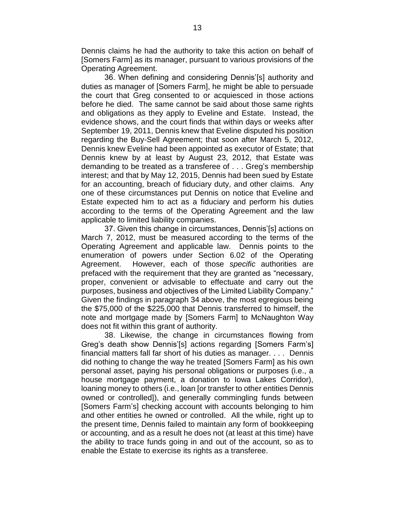Dennis claims he had the authority to take this action on behalf of [Somers Farm] as its manager, pursuant to various provisions of the Operating Agreement.

36. When defining and considering Dennis'[s] authority and duties as manager of [Somers Farm], he might be able to persuade the court that Greg consented to or acquiesced in those actions before he died. The same cannot be said about those same rights and obligations as they apply to Eveline and Estate. Instead, the evidence shows, and the court finds that within days or weeks after September 19, 2011, Dennis knew that Eveline disputed his position regarding the Buy-Sell Agreement; that soon after March 5, 2012, Dennis knew Eveline had been appointed as executor of Estate; that Dennis knew by at least by August 23, 2012, that Estate was demanding to be treated as a transferee of . . . Greg's membership interest; and that by May 12, 2015, Dennis had been sued by Estate for an accounting, breach of fiduciary duty, and other claims. Any one of these circumstances put Dennis on notice that Eveline and Estate expected him to act as a fiduciary and perform his duties according to the terms of the Operating Agreement and the law applicable to limited liability companies.

37. Given this change in circumstances, Dennis'[s] actions on March 7, 2012, must be measured according to the terms of the Operating Agreement and applicable law. Dennis points to the enumeration of powers under Section 6.02 of the Operating Agreement. However, each of those *specific* authorities are prefaced with the requirement that they are granted as "necessary, proper, convenient or advisable to effectuate and carry out the purposes, business and objectives of the Limited Liability Company." Given the findings in paragraph 34 above, the most egregious being the \$75,000 of the \$225,000 that Dennis transferred to himself, the note and mortgage made by [Somers Farm] to McNaughton Way does not fit within this grant of authority.

38. Likewise, the change in circumstances flowing from Greg's death show Dennis'[s] actions regarding [Somers Farm's] financial matters fall far short of his duties as manager. . . . Dennis did nothing to change the way he treated [Somers Farm] as his own personal asset, paying his personal obligations or purposes (i.e., a house mortgage payment, a donation to Iowa Lakes Corridor), loaning money to others (i.e., loan [or transfer to other entities Dennis owned or controlled]), and generally commingling funds between [Somers Farm's] checking account with accounts belonging to him and other entities he owned or controlled. All the while, right up to the present time, Dennis failed to maintain any form of bookkeeping or accounting, and as a result he does not (at least at this time) have the ability to trace funds going in and out of the account, so as to enable the Estate to exercise its rights as a transferee.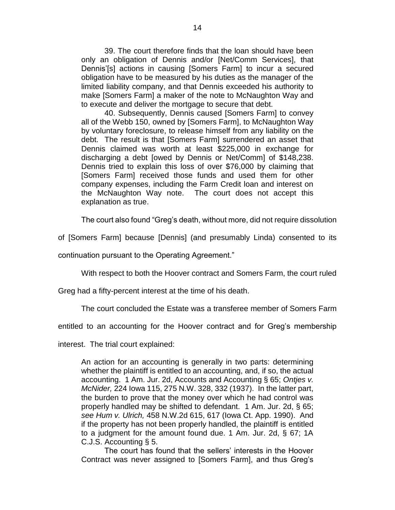39. The court therefore finds that the loan should have been only an obligation of Dennis and/or [Net/Comm Services], that Dennis'[s] actions in causing [Somers Farm] to incur a secured obligation have to be measured by his duties as the manager of the limited liability company, and that Dennis exceeded his authority to make [Somers Farm] a maker of the note to McNaughton Way and to execute and deliver the mortgage to secure that debt.

40. Subsequently, Dennis caused [Somers Farm] to convey all of the Webb 150, owned by [Somers Farm], to McNaughton Way by voluntary foreclosure, to release himself from any liability on the debt. The result is that [Somers Farm] surrendered an asset that Dennis claimed was worth at least \$225,000 in exchange for discharging a debt [owed by Dennis or Net/Comm] of \$148,238. Dennis tried to explain this loss of over \$76,000 by claiming that [Somers Farm] received those funds and used them for other company expenses, including the Farm Credit loan and interest on the McNaughton Way note. The court does not accept this explanation as true.

The court also found "Greg's death, without more, did not require dissolution

of [Somers Farm] because [Dennis] (and presumably Linda) consented to its

continuation pursuant to the Operating Agreement."

With respect to both the Hoover contract and Somers Farm, the court ruled

Greg had a fifty-percent interest at the time of his death.

The court concluded the Estate was a transferee member of Somers Farm

entitled to an accounting for the Hoover contract and for Greg's membership

interest. The trial court explained:

An action for an accounting is generally in two parts: determining whether the plaintiff is entitled to an accounting, and, if so, the actual accounting. 1 Am. Jur. 2d, Accounts and Accounting § 65; *Ontjes v. McNider,* 224 Iowa 115, 275 N.W. 328, 332 (1937). In the latter part, the burden to prove that the money over which he had control was properly handled may be shifted to defendant. 1 Am. Jur. 2d, § 65; *see Hum v. Ulrich,* 458 N.W.2d 615, 617 (Iowa Ct. App. 1990). And if the property has not been properly handled, the plaintiff is entitled to a judgment for the amount found due. 1 Am. Jur. 2d, § 67; 1A C.J.S. Accounting § 5.

The court has found that the sellers' interests in the Hoover Contract was never assigned to [Somers Farm], and thus Greg's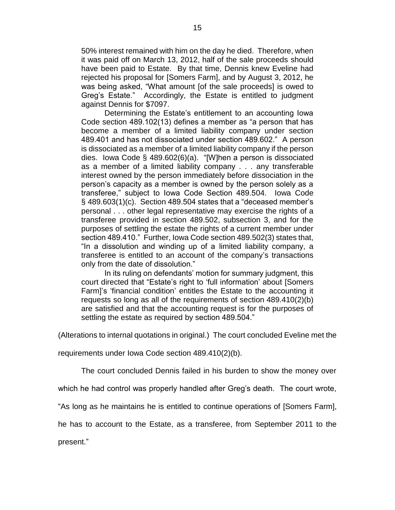50% interest remained with him on the day he died. Therefore, when it was paid off on March 13, 2012, half of the sale proceeds should have been paid to Estate. By that time, Dennis knew Eveline had rejected his proposal for [Somers Farm], and by August 3, 2012, he was being asked, "What amount [of the sale proceeds] is owed to Greg's Estate." Accordingly, the Estate is entitled to judgment against Dennis for \$7097.

Determining the Estate's entitlement to an accounting Iowa Code section 489.102(13) defines a member as "a person that has become a member of a limited liability company under section 489.401 and has not dissociated under section 489.602." A person is dissociated as a member of a limited liability company if the person dies. Iowa Code § 489.602(6)(a). "[W]hen a person is dissociated as a member of a limited liability company . . . any transferable interest owned by the person immediately before dissociation in the person's capacity as a member is owned by the person solely as a transferee," subject to Iowa Code Section 489.504. Iowa Code § 489.603(1)(c). Section 489.504 states that a "deceased member's personal . . . other legal representative may exercise the rights of a transferee provided in section 489.502, subsection 3, and for the purposes of settling the estate the rights of a current member under section 489.410." Further, Iowa Code section 489.502(3) states that, "In a dissolution and winding up of a limited liability company, a transferee is entitled to an account of the company's transactions only from the date of dissolution."

In its ruling on defendants' motion for summary judgment, this court directed that "Estate's right to 'full information' about [Somers Farm]'s 'financial condition' entitles the Estate to the accounting it requests so long as all of the requirements of section 489.410(2)(b) are satisfied and that the accounting request is for the purposes of settling the estate as required by section 489.504."

(Alterations to internal quotations in original.) The court concluded Eveline met the

requirements under Iowa Code section 489.410(2)(b).

The court concluded Dennis failed in his burden to show the money over

which he had control was properly handled after Greg's death. The court wrote,

"As long as he maintains he is entitled to continue operations of [Somers Farm],

he has to account to the Estate, as a transferee, from September 2011 to the

present."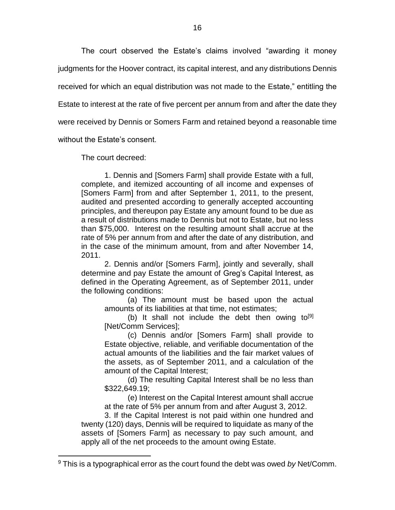The court observed the Estate's claims involved "awarding it money judgments for the Hoover contract, its capital interest, and any distributions Dennis received for which an equal distribution was not made to the Estate," entitling the Estate to interest at the rate of five percent per annum from and after the date they were received by Dennis or Somers Farm and retained beyond a reasonable time

without the Estate's consent.

 $\overline{a}$ 

The court decreed:

1. Dennis and [Somers Farm] shall provide Estate with a full, complete, and itemized accounting of all income and expenses of [Somers Farm] from and after September 1, 2011, to the present, audited and presented according to generally accepted accounting principles, and thereupon pay Estate any amount found to be due as a result of distributions made to Dennis but not to Estate, but no less than \$75,000. Interest on the resulting amount shall accrue at the rate of 5% per annum from and after the date of any distribution, and in the case of the minimum amount, from and after November 14, 2011.

2. Dennis and/or [Somers Farm], jointly and severally, shall determine and pay Estate the amount of Greg's Capital Interest, as defined in the Operating Agreement, as of September 2011, under the following conditions:

(a) The amount must be based upon the actual amounts of its liabilities at that time, not estimates;

(b) It shall not include the debt then owing to  $[9]$ [Net/Comm Services];

(c) Dennis and/or [Somers Farm] shall provide to Estate objective, reliable, and verifiable documentation of the actual amounts of the liabilities and the fair market values of the assets, as of September 2011, and a calculation of the amount of the Capital Interest;

(d) The resulting Capital Interest shall be no less than \$322,649.19;

(e) Interest on the Capital Interest amount shall accrue at the rate of 5% per annum from and after August 3, 2012.

3. If the Capital Interest is not paid within one hundred and twenty (120) days, Dennis will be required to liquidate as many of the assets of [Somers Farm] as necessary to pay such amount, and apply all of the net proceeds to the amount owing Estate.

<sup>9</sup> This is a typographical error as the court found the debt was owed *by* Net/Comm.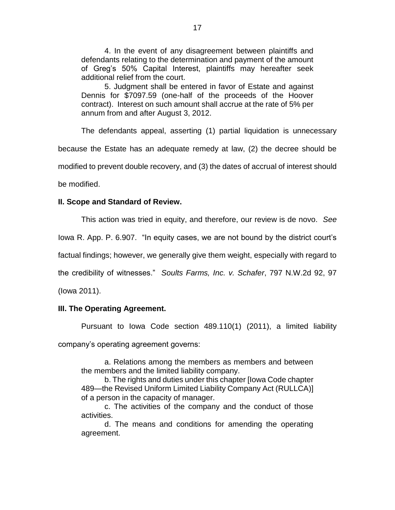4. In the event of any disagreement between plaintiffs and defendants relating to the determination and payment of the amount of Greg's 50% Capital Interest, plaintiffs may hereafter seek additional relief from the court.

5. Judgment shall be entered in favor of Estate and against Dennis for \$7097.59 (one-half of the proceeds of the Hoover contract). Interest on such amount shall accrue at the rate of 5% per annum from and after August 3, 2012.

The defendants appeal, asserting (1) partial liquidation is unnecessary because the Estate has an adequate remedy at law, (2) the decree should be modified to prevent double recovery, and (3) the dates of accrual of interest should be modified.

### **II. Scope and Standard of Review.**

This action was tried in equity, and therefore, our review is de novo. *See*  Iowa R. App. P. 6.907. "In equity cases, we are not bound by the district court's factual findings; however, we generally give them weight, especially with regard to the credibility of witnesses." *Soults Farms, Inc. v. Schafer*, 797 N.W.2d 92, 97 (Iowa 2011).

#### **III. The Operating Agreement.**

Pursuant to Iowa Code section 489.110(1) (2011), a limited liability company's operating agreement governs:

a. Relations among the members as members and between the members and the limited liability company.

b. The rights and duties under this chapter [Iowa Code chapter 489—the Revised Uniform Limited Liability Company Act (RULLCA)] of a person in the capacity of manager.

c. The activities of the company and the conduct of those activities.

d. The means and conditions for amending the operating agreement.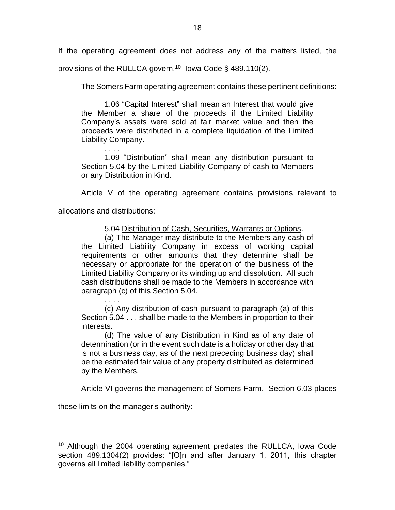If the operating agreement does not address any of the matters listed, the provisions of the RULLCA govern.<sup>10</sup> Iowa Code § 489.110(2).

The Somers Farm operating agreement contains these pertinent definitions:

1.06 "Capital Interest" shall mean an Interest that would give the Member a share of the proceeds if the Limited Liability Company's assets were sold at fair market value and then the proceeds were distributed in a complete liquidation of the Limited Liability Company.

. . . . 1.09 "Distribution" shall mean any distribution pursuant to Section 5.04 by the Limited Liability Company of cash to Members or any Distribution in Kind.

Article V of the operating agreement contains provisions relevant to

allocations and distributions:

5.04 Distribution of Cash, Securities, Warrants or Options.

(a) The Manager may distribute to the Members any cash of the Limited Liability Company in excess of working capital requirements or other amounts that they determine shall be necessary or appropriate for the operation of the business of the Limited Liability Company or its winding up and dissolution. All such cash distributions shall be made to the Members in accordance with paragraph (c) of this Section 5.04.

. . . . (c) Any distribution of cash pursuant to paragraph (a) of this Section 5.04 . . . shall be made to the Members in proportion to their interests.

(d) The value of any Distribution in Kind as of any date of determination (or in the event such date is a holiday or other day that is not a business day, as of the next preceding business day) shall be the estimated fair value of any property distributed as determined by the Members.

Article VI governs the management of Somers Farm. Section 6.03 places

these limits on the manager's authority:

 $\overline{a}$ <sup>10</sup> Although the 2004 operating agreement predates the RULLCA, lowa Code section 489.1304(2) provides: "[O]n and after January 1, 2011, this chapter governs all limited liability companies."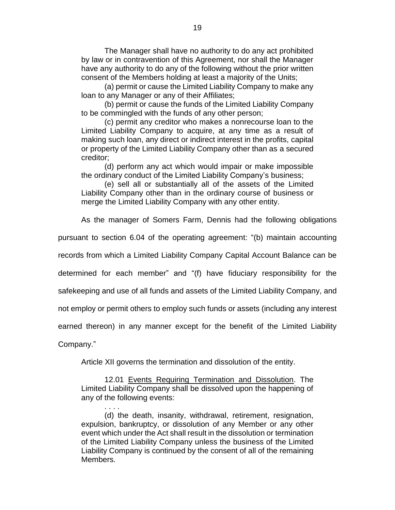The Manager shall have no authority to do any act prohibited by law or in contravention of this Agreement, nor shall the Manager have any authority to do any of the following without the prior written consent of the Members holding at least a majority of the Units;

(a) permit or cause the Limited Liability Company to make any loan to any Manager or any of their Affiliates;

(b) permit or cause the funds of the Limited Liability Company to be commingled with the funds of any other person;

(c) permit any creditor who makes a nonrecourse loan to the Limited Liability Company to acquire, at any time as a result of making such loan, any direct or indirect interest in the profits, capital or property of the Limited Liability Company other than as a secured creditor;

(d) perform any act which would impair or make impossible the ordinary conduct of the Limited Liability Company's business;

(e) sell all or substantially all of the assets of the Limited Liability Company other than in the ordinary course of business or merge the Limited Liability Company with any other entity.

As the manager of Somers Farm, Dennis had the following obligations

pursuant to section 6.04 of the operating agreement: "(b) maintain accounting

records from which a Limited Liability Company Capital Account Balance can be

determined for each member" and "(f) have fiduciary responsibility for the

safekeeping and use of all funds and assets of the Limited Liability Company, and

not employ or permit others to employ such funds or assets (including any interest

earned thereon) in any manner except for the benefit of the Limited Liability

Company."

. . . .

Article XII governs the termination and dissolution of the entity.

12.01 Events Requiring Termination and Dissolution. The Limited Liability Company shall be dissolved upon the happening of any of the following events:

(d) the death, insanity, withdrawal, retirement, resignation, expulsion, bankruptcy, or dissolution of any Member or any other event which under the Act shall result in the dissolution or termination of the Limited Liability Company unless the business of the Limited Liability Company is continued by the consent of all of the remaining Members.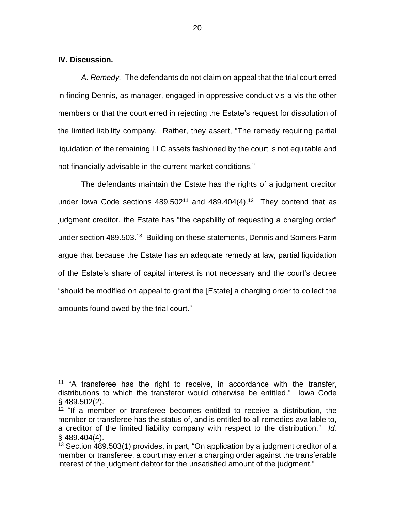#### **IV. Discussion.**

 $\overline{a}$ 

*A. Remedy.* The defendants do not claim on appeal that the trial court erred in finding Dennis, as manager, engaged in oppressive conduct vis-a-vis the other members or that the court erred in rejecting the Estate's request for dissolution of the limited liability company. Rather, they assert, "The remedy requiring partial liquidation of the remaining LLC assets fashioned by the court is not equitable and not financially advisable in the current market conditions."

The defendants maintain the Estate has the rights of a judgment creditor under lowa Code sections  $489.502^{11}$  and  $489.404(4).^{12}$  They contend that as judgment creditor, the Estate has "the capability of requesting a charging order" under section 489.503.<sup>13</sup> Building on these statements, Dennis and Somers Farm argue that because the Estate has an adequate remedy at law, partial liquidation of the Estate's share of capital interest is not necessary and the court's decree "should be modified on appeal to grant the [Estate] a charging order to collect the amounts found owed by the trial court."

<sup>&</sup>lt;sup>11</sup> "A transferee has the right to receive, in accordance with the transfer, distributions to which the transferor would otherwise be entitled." Iowa Code § 489.502(2).

<sup>&</sup>lt;sup>12</sup> "If a member or transferee becomes entitled to receive a distribution, the member or transferee has the status of, and is entitled to all remedies available to, a creditor of the limited liability company with respect to the distribution." *Id.*  § 489.404(4).

 $13$  Section 489.503(1) provides, in part, "On application by a judgment creditor of a member or transferee, a court may enter a charging order against the transferable interest of the judgment debtor for the unsatisfied amount of the judgment."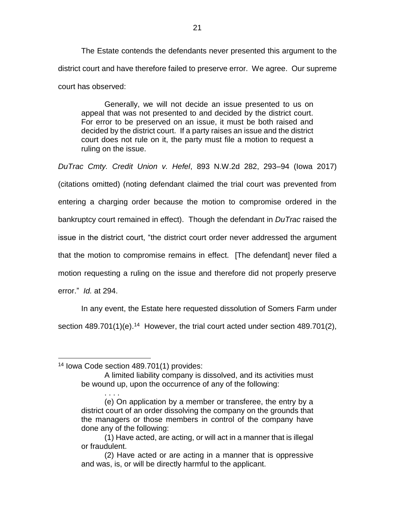The Estate contends the defendants never presented this argument to the district court and have therefore failed to preserve error. We agree. Our supreme court has observed:

Generally, we will not decide an issue presented to us on appeal that was not presented to and decided by the district court. For error to be preserved on an issue, it must be both raised and decided by the district court. If a party raises an issue and the district court does not rule on it, the party must file a motion to request a ruling on the issue.

*DuTrac Cmty. Credit Union v. Hefel*, 893 N.W.2d 282, 293–94 (Iowa 2017) (citations omitted) (noting defendant claimed the trial court was prevented from entering a charging order because the motion to compromise ordered in the bankruptcy court remained in effect). Though the defendant in *DuTrac* raised the issue in the district court, "the district court order never addressed the argument that the motion to compromise remains in effect. [The defendant] never filed a motion requesting a ruling on the issue and therefore did not properly preserve error." *Id.* at 294.

In any event, the Estate here requested dissolution of Somers Farm under section  $489.701(1)(e).<sup>14</sup>$  However, the trial court acted under section  $489.701(2)$ ,

 $\overline{a}$ <sup>14</sup> Iowa Code section 489.701(1) provides:

A limited liability company is dissolved, and its activities must be wound up, upon the occurrence of any of the following:

<sup>. . . .</sup> (e) On application by a member or transferee, the entry by a district court of an order dissolving the company on the grounds that the managers or those members in control of the company have done any of the following:

<sup>(1)</sup> Have acted, are acting, or will act in a manner that is illegal or fraudulent.

<sup>(2)</sup> Have acted or are acting in a manner that is oppressive and was, is, or will be directly harmful to the applicant.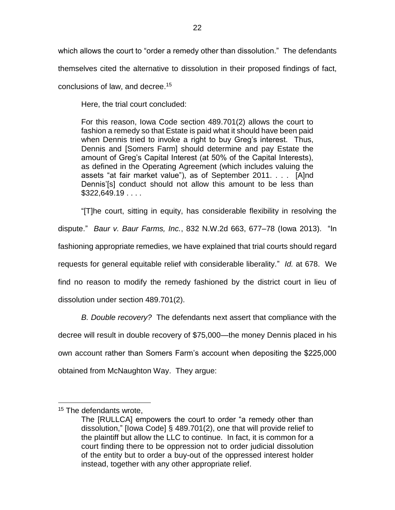which allows the court to "order a remedy other than dissolution." The defendants

themselves cited the alternative to dissolution in their proposed findings of fact,

conclusions of law, and decree. 15

Here, the trial court concluded:

For this reason, Iowa Code section 489.701(2) allows the court to fashion a remedy so that Estate is paid what it should have been paid when Dennis tried to invoke a right to buy Greg's interest. Thus, Dennis and [Somers Farm] should determine and pay Estate the amount of Greg's Capital Interest (at 50% of the Capital Interests), as defined in the Operating Agreement (which includes valuing the assets "at fair market value"), as of September 2011. . . . [A]nd Dennis'[s] conduct should not allow this amount to be less than \$322,649.19 . . . .

"[T]he court, sitting in equity, has considerable flexibility in resolving the dispute." *Baur v. Baur Farms, Inc.*, 832 N.W.2d 663, 677–78 (Iowa 2013). "In fashioning appropriate remedies, we have explained that trial courts should regard requests for general equitable relief with considerable liberality." *Id.* at 678. We find no reason to modify the remedy fashioned by the district court in lieu of dissolution under section 489.701(2).

*B. Double recovery?* The defendants next assert that compliance with the decree will result in double recovery of \$75,000—the money Dennis placed in his own account rather than Somers Farm's account when depositing the \$225,000 obtained from McNaughton Way. They argue:

 $\overline{a}$ 

<sup>&</sup>lt;sup>15</sup> The defendants wrote,

The [RULLCA] empowers the court to order "a remedy other than dissolution," [Iowa Code] § 489.701(2), one that will provide relief to the plaintiff but allow the LLC to continue. In fact, it is common for a court finding there to be oppression not to order judicial dissolution of the entity but to order a buy-out of the oppressed interest holder instead, together with any other appropriate relief.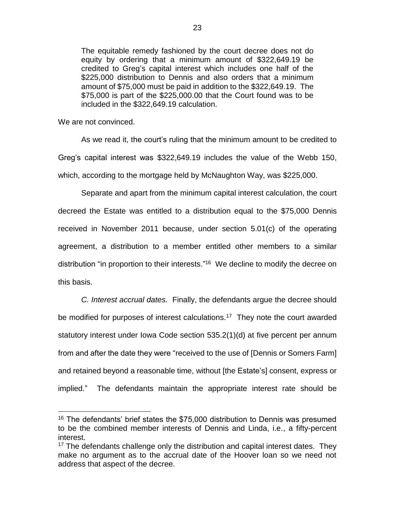The equitable remedy fashioned by the court decree does not do equity by ordering that a minimum amount of \$322,649.19 be credited to Greg's capital interest which includes one half of the \$225,000 distribution to Dennis and also orders that a minimum amount of \$75,000 must be paid in addition to the \$322,649.19. The \$75,000 is part of the \$225,000.00 that the Court found was to be included in the \$322,649.19 calculation.

We are not convinced.

 $\overline{a}$ 

As we read it, the court's ruling that the minimum amount to be credited to Greg's capital interest was \$322,649.19 includes the value of the Webb 150, which, according to the mortgage held by McNaughton Way, was \$225,000.

Separate and apart from the minimum capital interest calculation, the court decreed the Estate was entitled to a distribution equal to the \$75,000 Dennis received in November 2011 because, under section 5.01(c) of the operating agreement, a distribution to a member entitled other members to a similar distribution "in proportion to their interests."<sup>16</sup> We decline to modify the decree on this basis.

*C. Interest accrual dates.* Finally, the defendants argue the decree should be modified for purposes of interest calculations.<sup>17</sup> They note the court awarded statutory interest under Iowa Code section 535.2(1)(d) at five percent per annum from and after the date they were "received to the use of [Dennis or Somers Farm] and retained beyond a reasonable time, without [the Estate's] consent, express or implied." The defendants maintain the appropriate interest rate should be

<sup>&</sup>lt;sup>16</sup> The defendants' brief states the \$75,000 distribution to Dennis was presumed to be the combined member interests of Dennis and Linda, i.e., a fifty-percent interest.

 $17$  The defendants challenge only the distribution and capital interest dates. They make no argument as to the accrual date of the Hoover loan so we need not address that aspect of the decree.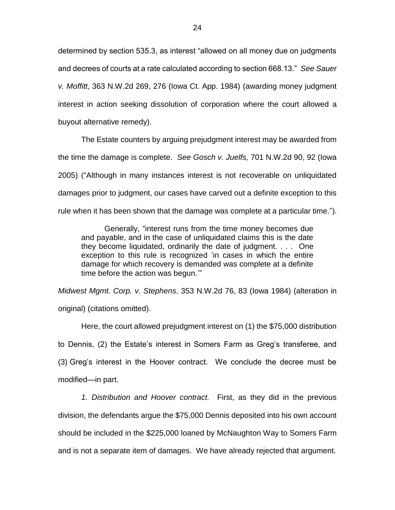determined by section 535.3, as interest "allowed on all money due on judgments and decrees of courts at a rate calculated according to section 668.13." *See Sauer v. Moffitt*, 363 N.W.2d 269, 276 (Iowa Ct. App. 1984) (awarding money judgment interest in action seeking dissolution of corporation where the court allowed a buyout alternative remedy).

The Estate counters by arguing prejudgment interest may be awarded from the time the damage is complete. *See Gosch v. Juelfs,* 701 N.W.2d 90, 92 (Iowa 2005) ("Although in many instances interest is not recoverable on unliquidated damages prior to judgment, our cases have carved out a definite exception to this rule when it has been shown that the damage was complete at a particular time.").

Generally, "interest runs from the time money becomes due and payable, and in the case of unliquidated claims this is the date they become liquidated, ordinarily the date of judgment. . . . One exception to this rule is recognized 'in cases in which the entire damage for which recovery is demanded was complete at a definite time before the action was begun.'"

*Midwest Mgmt. Corp. v. Stephens*, 353 N.W.2d 76, 83 (Iowa 1984) (alteration in original) (citations omitted).

Here, the court allowed prejudgment interest on (1) the \$75,000 distribution to Dennis, (2) the Estate's interest in Somers Farm as Greg's transferee, and (3) Greg's interest in the Hoover contract. We conclude the decree must be modified—in part.

*1. Distribution and Hoover contract.* First, as they did in the previous division, the defendants argue the \$75,000 Dennis deposited into his own account should be included in the \$225,000 loaned by McNaughton Way to Somers Farm and is not a separate item of damages. We have already rejected that argument.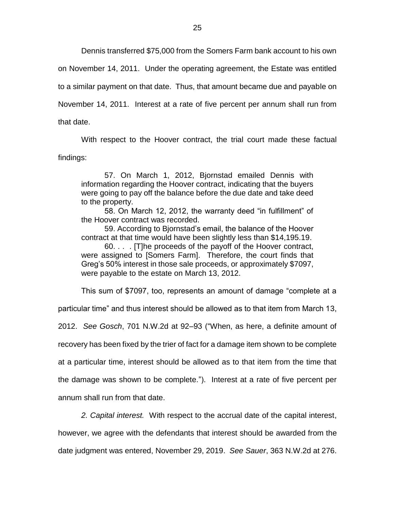Dennis transferred \$75,000 from the Somers Farm bank account to his own

on November 14, 2011. Under the operating agreement, the Estate was entitled

to a similar payment on that date. Thus, that amount became due and payable on

November 14, 2011. Interest at a rate of five percent per annum shall run from

that date.

With respect to the Hoover contract, the trial court made these factual findings:

57. On March 1, 2012, Bjornstad emailed Dennis with information regarding the Hoover contract, indicating that the buyers were going to pay off the balance before the due date and take deed to the property.

58. On March 12, 2012, the warranty deed "in fulfillment" of the Hoover contract was recorded.

59. According to Bjornstad's email, the balance of the Hoover contract at that time would have been slightly less than \$14,195.19.

60. . . . [T]he proceeds of the payoff of the Hoover contract, were assigned to [Somers Farm]. Therefore, the court finds that Greg's 50% interest in those sale proceeds, or approximately \$7097, were payable to the estate on March 13, 2012.

This sum of \$7097, too, represents an amount of damage "complete at a

particular time" and thus interest should be allowed as to that item from March 13,

2012. *See Gosch*, 701 N.W.2d at 92–93 ("When, as here, a definite amount of

recovery has been fixed by the trier of fact for a damage item shown to be complete

at a particular time, interest should be allowed as to that item from the time that

the damage was shown to be complete."). Interest at a rate of five percent per

annum shall run from that date.

*2. Capital interest.* With respect to the accrual date of the capital interest,

however, we agree with the defendants that interest should be awarded from the

date judgment was entered, November 29, 2019. *See Sauer*, 363 N.W.2d at 276.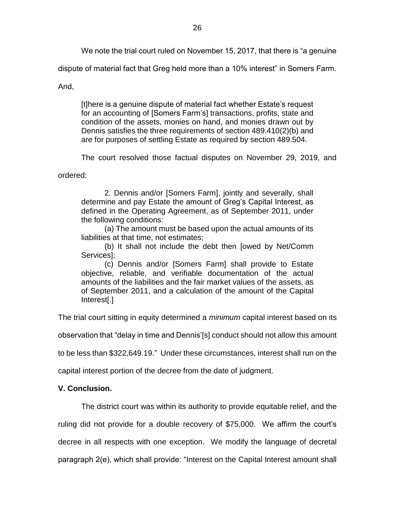We note the trial court ruled on November 15, 2017, that there is "a genuine

dispute of material fact that Greg held more than a 10% interest" in Somers Farm.

And,

[t]here is a genuine dispute of material fact whether Estate's request for an accounting of [Somers Farm's] transactions, profits, state and condition of the assets, monies on hand, and monies drawn out by Dennis satisfies the three requirements of section 489.410(2)(b) and are for purposes of settling Estate as required by section 489.504.

The court resolved those factual disputes on November 29, 2019, and

ordered:

2. Dennis and/or [Somers Farm], jointly and severally, shall determine and pay Estate the amount of Greg's Capital Interest, as defined in the Operating Agreement, as of September 2011, under the following conditions:

(a) The amount must be based upon the actual amounts of its liabilities at that time, not estimates;

(b) It shall not include the debt then [owed by Net/Comm Services];

(c) Dennis and/or [Somers Farm] shall provide to Estate objective, reliable, and verifiable documentation of the actual amounts of the liabilities and the fair market values of the assets, as of September 2011, and a calculation of the amount of the Capital Interest[.]

The trial court sitting in equity determined a *minimum* capital interest based on its

observation that "delay in time and Dennis'[s] conduct should not allow this amount

to be less than \$322,649.19." Under these circumstances, interest shall run on the

capital interest portion of the decree from the date of judgment.

# **V. Conclusion.**

The district court was within its authority to provide equitable relief, and the

ruling did not provide for a double recovery of \$75,000. We affirm the court's

decree in all respects with one exception. We modify the language of decretal

paragraph 2(e), which shall provide: "Interest on the Capital Interest amount shall